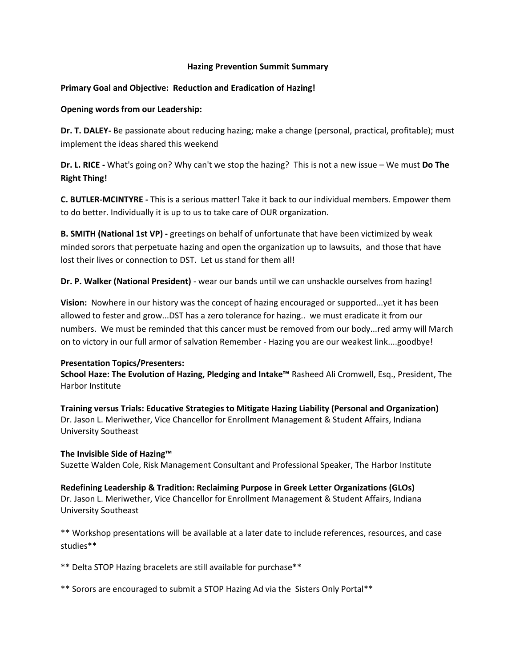# **Hazing Prevention Summit Summary**

### **Primary Goal and Objective: Reduction and Eradication of Hazing!**

### **Opening words from our Leadership:**

**Dr. T. DALEY-** Be passionate about reducing hazing; make a change (personal, practical, profitable); must implement the ideas shared this weekend

**Dr. L. RICE -** What's going on? Why can't we stop the hazing? This is not a new issue – We must **Do The Right Thing!**

**C. BUTLER-MCINTYRE -** This is a serious matter! Take it back to our individual members. Empower them to do better. Individually it is up to us to take care of OUR organization.

**B. SMITH (National 1st VP) -** greetings on behalf of unfortunate that have been victimized by weak minded sorors that perpetuate hazing and open the organization up to lawsuits, and those that have lost their lives or connection to DST. Let us stand for them all!

**Dr. P. Walker (National President)** - wear our bands until we can unshackle ourselves from hazing!

**Vision:** Nowhere in our history was the concept of hazing encouraged or supported...yet it has been allowed to fester and grow...DST has a zero tolerance for hazing.. we must eradicate it from our numbers. We must be reminded that this cancer must be removed from our body...red army will March on to victory in our full armor of salvation Remember - Hazing you are our weakest link....goodbye!

#### **Presentation Topics/Presenters:**

**School Haze: The Evolution of Hazing, Pledging and Intake™** Rasheed Ali Cromwell, Esq., President, The Harbor Institute

**Training versus Trials: Educative Strategies to Mitigate Hazing Liability (Personal and Organization)** Dr. Jason L. Meriwether, Vice Chancellor for Enrollment Management & Student Affairs, Indiana University Southeast

# **The Invisible Side of Hazing™**

Suzette Walden Cole, Risk Management Consultant and Professional Speaker, The Harbor Institute

**Redefining Leadership & Tradition: Reclaiming Purpose in Greek Letter Organizations (GLOs)** Dr. Jason L. Meriwether, Vice Chancellor for Enrollment Management & Student Affairs, Indiana University Southeast

\*\* Workshop presentations will be available at a later date to include references, resources, and case studies\*\*

\*\* Delta STOP Hazing bracelets are still available for purchase\*\*

\*\* Sorors are encouraged to submit a STOP Hazing Ad via the Sisters Only Portal\*\*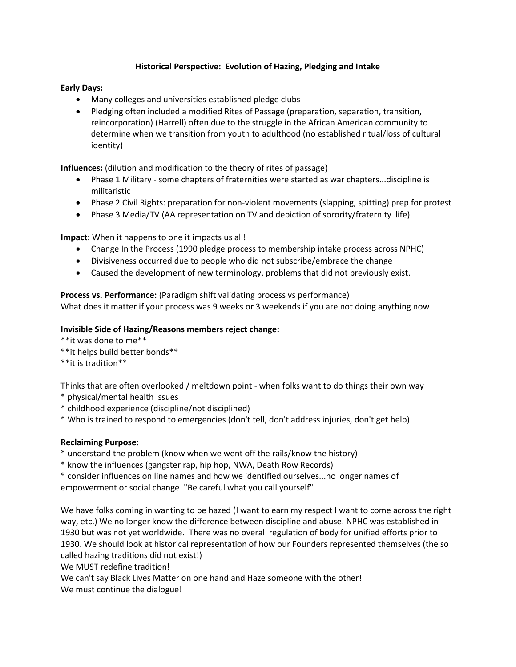# **Historical Perspective: Evolution of Hazing, Pledging and Intake**

# **Early Days:**

- Many colleges and universities established pledge clubs
- Pledging often included a modified Rites of Passage (preparation, separation, transition, reincorporation) (Harrell) often due to the struggle in the African American community to determine when we transition from youth to adulthood (no established ritual/loss of cultural identity)

**Influences:** (dilution and modification to the theory of rites of passage)

- Phase 1 Military some chapters of fraternities were started as war chapters...discipline is militaristic
- Phase 2 Civil Rights: preparation for non-violent movements (slapping, spitting) prep for protest
- Phase 3 Media/TV (AA representation on TV and depiction of sorority/fraternity life)

**Impact:** When it happens to one it impacts us all!

- Change In the Process (1990 pledge process to membership intake process across NPHC)
- Divisiveness occurred due to people who did not subscribe/embrace the change
- Caused the development of new terminology, problems that did not previously exist.

**Process vs. Performance:** (Paradigm shift validating process vs performance) What does it matter if your process was 9 weeks or 3 weekends if you are not doing anything now!

# **Invisible Side of Hazing/Reasons members reject change:**

\*\*it was done to me\*\*

- \*\*it helps build better bonds\*\*
- \*\*it is tradition\*\*

Thinks that are often overlooked / meltdown point - when folks want to do things their own way

- \* physical/mental health issues
- \* childhood experience (discipline/not disciplined)
- \* Who is trained to respond to emergencies (don't tell, don't address injuries, don't get help)

# **Reclaiming Purpose:**

\* understand the problem (know when we went off the rails/know the history)

\* know the influences (gangster rap, hip hop, NWA, Death Row Records)

\* consider influences on line names and how we identified ourselves...no longer names of empowerment or social change "Be careful what you call yourself"

We have folks coming in wanting to be hazed (I want to earn my respect I want to come across the right way, etc.) We no longer know the difference between discipline and abuse. NPHC was established in 1930 but was not yet worldwide. There was no overall regulation of body for unified efforts prior to 1930. We should look at historical representation of how our Founders represented themselves (the so called hazing traditions did not exist!)

We MUST redefine tradition!

We can't say Black Lives Matter on one hand and Haze someone with the other!

We must continue the dialogue!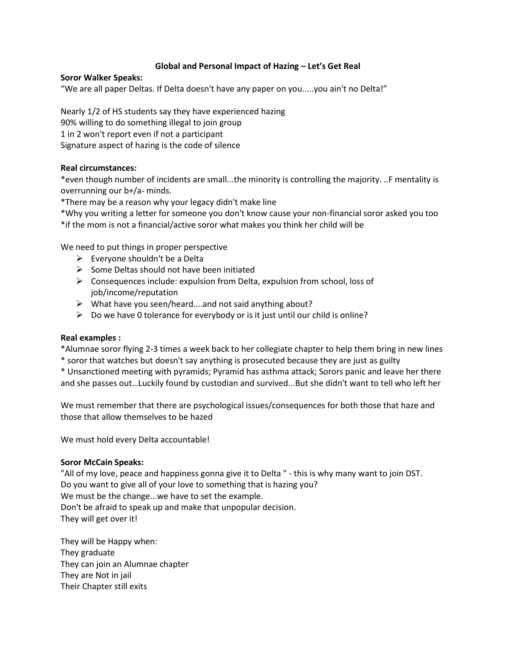# **Global and Personal Impact of Hazing – Let's Get Real**

### **Soror Walker Speaks:**

"We are all paper Deltas. If Delta doesn't have any paper on you.....you ain't no Delta!"

Nearly 1/2 of HS students say they have experienced hazing 90% willing to do something illegal to join group 1 in 2 won't report even if not a participant Signature aspect of hazing is the code of silence

# **Real circumstances:**

\*even though number of incidents are small...the minority is controlling the majority. ..F mentality is overrunning our b+/a- minds.

\*There may be a reason why your legacy didn't make line

\*Why you writing a letter for someone you don't know cause your non-financial soror asked you too \*if the mom is not a financial/active soror what makes you think her child will be

We need to put things in proper perspective

- $\triangleright$  Everyone shouldn't be a Delta
- $\triangleright$  Some Deltas should not have been initiated
- $\triangleright$  Consequences include: expulsion from Delta, expulsion from school, loss of job/income/reputation
- $\triangleright$  What have you seen/heard....and not said anything about?
- $\triangleright$  Do we have 0 tolerance for everybody or is it just until our child is online?

#### **Real examples :**

\*Alumnae soror flying 2-3 times a week back to her collegiate chapter to help them bring in new lines \* soror that watches but doesn't say anything is prosecuted because they are just as guilty

\* Unsanctioned meeting with pyramids; Pyramid has asthma attack; Sorors panic and leave her there and she passes out…Luckily found by custodian and survived...But she didn't want to tell who left her

We must remember that there are psychological issues/consequences for both those that haze and those that allow themselves to be hazed

We must hold every Delta accountable!

#### **Soror McCain Speaks:**

"All of my love, peace and happiness gonna give it to Delta " - this is why many want to join DST. Do you want to give all of your love to something that is hazing you? We must be the change...we have to set the example. Don't be afraid to speak up and make that unpopular decision. They will get over it!

They will be Happy when: They graduate They can join an Alumnae chapter They are Not in jail Their Chapter still exits